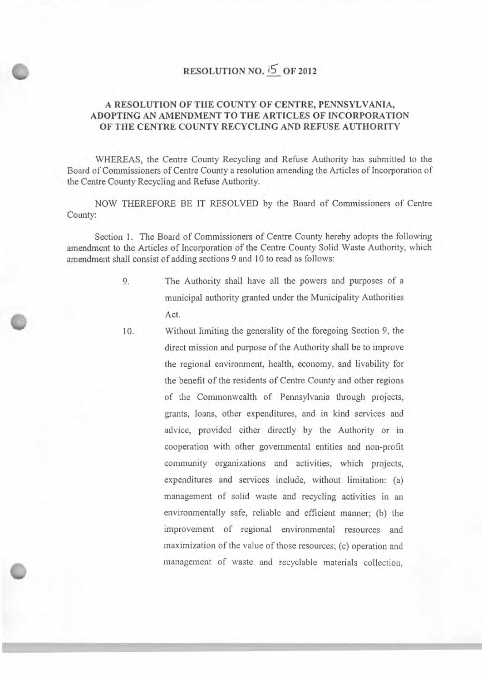# **RESOLUTION NO. 6 OF 2012**

## A RESOLUTION OF THE COUNTY OF CENTRE, PENNSYLVANIA, ADOPTING AN **AMENDMENT TO THE ARTICLES OF INCORPORATION OF THE CENTRE COUNTY RECYCLING AND REFUSE AUTHORITY**

**WHEREAS,** the Centre County Recycling and Refuse Authority has submitted to the Board of Commissioners of Centre County a resolution amending the Articles of Incorporation of the Centre County Recycling and Refuse Authority.

NOW THEREFORE BE IT RESOLVED by the Board of Commissioners of Centre County:

Section 1. The Board of Commissioners of Centre County hereby adopts the following amendment to the Articles of Incorporation of the Centre County Solid Waste Authority, which amendment shall consist of adding sections 9 and 10 to read as follows:

- 9. The Authority shall have all the powers and purposes of a municipal authority granted under the Municipality Authorities Act.
- 10. Without limiting the generality of the foregoing Section 9, the direct mission and purpose of the Authority shall be to improve the regional environment, health, economy, and livability for the benefit of the residents of Centre County and other regions of the Commonwealth of Pennsylvania through projects, grants, loans, other expenditures, and in kind services and advice, provided either directly by the Authority or in cooperation with other governmental entities and non-profit community organizations and activities, which projects, expenditures and services include, without limitation: (a) management of solid waste and recycling activities in an environmentally safe, reliable and efficient manner; (b) the improvement of regional environmental resources and maximization of the value of those resources; (c) operation and management of waste and recyclable materials collection,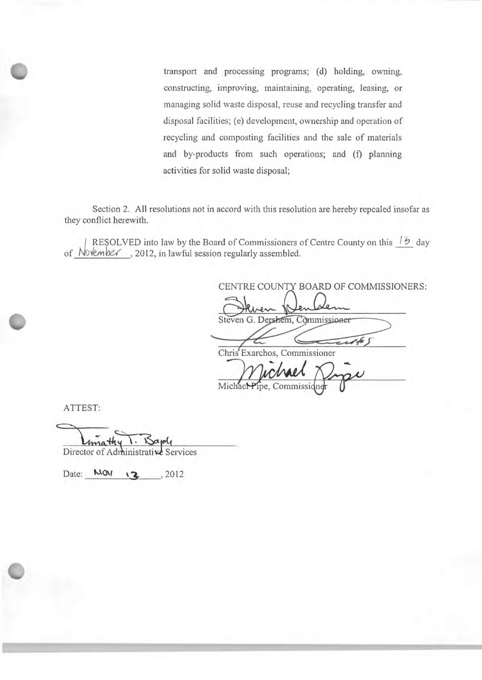transport and processing programs; (d) holding, owning, constructing, improving, maintaining, operating, leasing, or managing solid waste disposal, reuse and recycling transfer and disposal facilities; (e) development, ownership and operation of recycling and composting facilities and the sale of materials and by-products from such operations; and (f) planning activities for solid waste disposal;

Section 2. All resolutions not in accord with this resolution are hereby repealed insofar as they conflict herewith.

RESOLVED into law by the Board of Commissioners of Centre County on this  $\overline{12}$  day of November, 2012, in lawful session regularly assembled.

CENTRE COUNTY BOARD OF COMMISSIONERS: Steven G. Dershem, Commissioner Chris Exarchos, Commissioner Michael Pry

Michael Pipe, Commissi

ATTEST:

ma

Director of Administrative Services

Date:  $MON \t3$ , 2012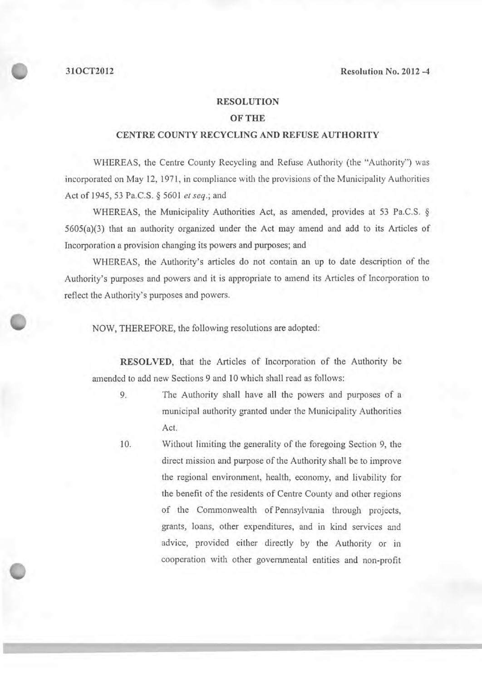#### **RESOLUTION**

## **OF THE**

### **CENTRE COUNTY RECYCLING AND REFUSE AUTHORITY**

WHEREAS, the Centre County Recycling and Refuse Authority (the "Authority") was incorporated on May 12, 1971, in compliance with the provisions of the Municipality Authorities Act *of 1945,53* Pa.C.S. § 5601 *etseq.;* and

WHEREAS, the Municipality Authorities Act, as amended, provides at 53 Pa.C.S. § *5605(a)(3)* that an authority organized under the Act may amend and add to its Articles of Incorporation a provision changing its powers and purposes; and

WHEREAS, the Authority's articles do not contain an up to date description of the Authority's purposes and powers and it is appropriate to amend its Articles of Incorporation to reflect the Authority's purposes and powers.

NOW, THEREFORE, the following resolutions are adopted:

**RESOLVED,** that the Articles of Incorporation of the Authority be amended to add new Sections *9* and 10 which shall read as follows:

- 9. The Authority shall have all the powers and purposes of a municipal authority granted under the Municipality Authorities Act.
- 10. Without limiting the generality of the foregoing Section 9, the direct mission and purpose of the Authority shall be to improve the regional environment, health, economy, and livability for the benefit of the residents of Centre County and other regions of the Commonwealth of Pennsylvania through projects, grants, loans, other expenditures, and in kind services and advice, provided either directly by the Authority or in cooperation with other governmental entities and non-profit